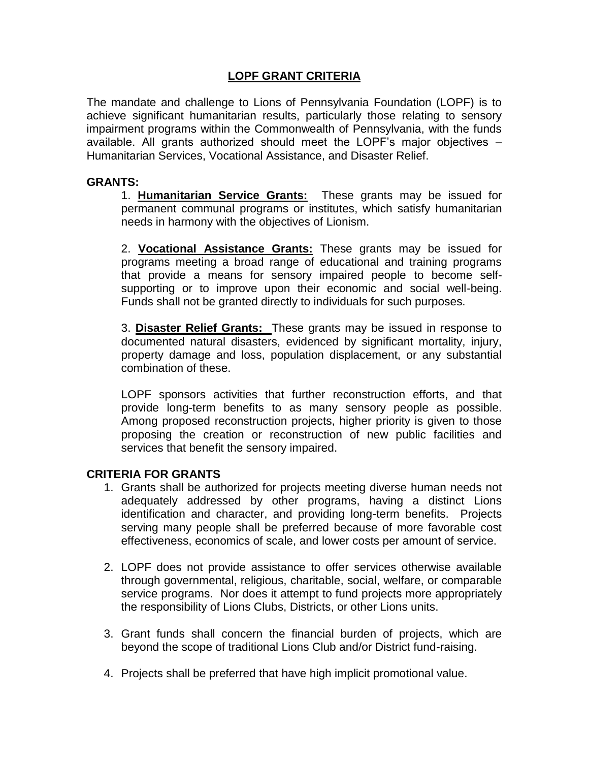## **LOPF GRANT CRITERIA**

The mandate and challenge to Lions of Pennsylvania Foundation (LOPF) is to achieve significant humanitarian results, particularly those relating to sensory impairment programs within the Commonwealth of Pennsylvania, with the funds available. All grants authorized should meet the LOPF's major objectives – Humanitarian Services, Vocational Assistance, and Disaster Relief.

## **GRANTS:**

1. **Humanitarian Service Grants:** These grants may be issued for permanent communal programs or institutes, which satisfy humanitarian needs in harmony with the objectives of Lionism.

2. **Vocational Assistance Grants:** These grants may be issued for programs meeting a broad range of educational and training programs that provide a means for sensory impaired people to become selfsupporting or to improve upon their economic and social well-being. Funds shall not be granted directly to individuals for such purposes.

3. **Disaster Relief Grants:** These grants may be issued in response to documented natural disasters, evidenced by significant mortality, injury, property damage and loss, population displacement, or any substantial combination of these.

LOPF sponsors activities that further reconstruction efforts, and that provide long-term benefits to as many sensory people as possible. Among proposed reconstruction projects, higher priority is given to those proposing the creation or reconstruction of new public facilities and services that benefit the sensory impaired.

## **CRITERIA FOR GRANTS**

- 1. Grants shall be authorized for projects meeting diverse human needs not adequately addressed by other programs, having a distinct Lions identification and character, and providing long-term benefits. Projects serving many people shall be preferred because of more favorable cost effectiveness, economics of scale, and lower costs per amount of service.
- 2. LOPF does not provide assistance to offer services otherwise available through governmental, religious, charitable, social, welfare, or comparable service programs. Nor does it attempt to fund projects more appropriately the responsibility of Lions Clubs, Districts, or other Lions units.
- 3. Grant funds shall concern the financial burden of projects, which are beyond the scope of traditional Lions Club and/or District fund-raising.
- 4. Projects shall be preferred that have high implicit promotional value.